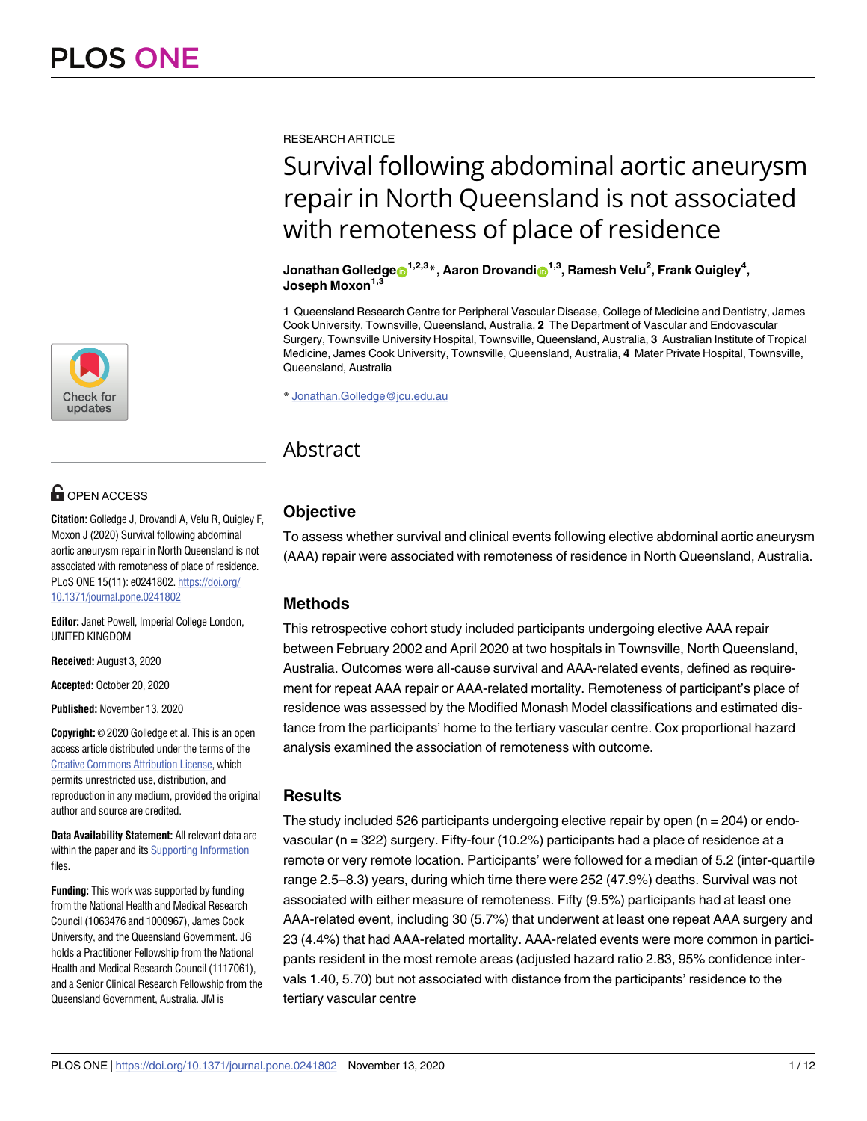

# **OPEN ACCESS**

**Citation:** Golledge J, Drovandi A, Velu R, Quigley F, Moxon J (2020) Survival following abdominal aortic aneurysm repair in North Queensland is not associated with remoteness of place of residence. PLoS ONE 15(11): e0241802. [https://doi.org/](https://doi.org/10.1371/journal.pone.0241802) [10.1371/journal.pone.0241802](https://doi.org/10.1371/journal.pone.0241802)

**Editor:** Janet Powell, Imperial College London, UNITED KINGDOM

**Received:** August 3, 2020

**Accepted:** October 20, 2020

**Published:** November 13, 2020

**Copyright:** © 2020 Golledge et al. This is an open access article distributed under the terms of the [Creative Commons Attribution License,](http://creativecommons.org/licenses/by/4.0/) which permits unrestricted use, distribution, and reproduction in any medium, provided the original author and source are credited.

**Data Availability Statement:** All relevant data are within the paper and its [Supporting Information](#page-8-0) files.

**Funding:** This work was supported by funding from the National Health and Medical Research Council (1063476 and 1000967), James Cook University, and the Queensland Government. JG holds a Practitioner Fellowship from the National Health and Medical Research Council (1117061), and a Senior Clinical Research Fellowship from the Queensland Government, Australia. JM is

RESEARCH ARTICLE

# Survival following abdominal aortic aneurysm repair in North Queensland is not associated with remoteness of place of residence

 $\delta$ Jonathan Golledge $\mathbf{\Theta}^{1,2,3}$ \*, Aaron Drovandi $\mathbf{\Theta}^{1,3}$ , Ramesh Velu<sup>2</sup>, Frank Quigley<sup>4</sup>, Joseph Moxon<sup>1,3</sup>

**1** Queensland Research Centre for Peripheral Vascular Disease, College of Medicine and Dentistry, James Cook University, Townsville, Queensland, Australia, **2** The Department of Vascular and Endovascular Surgery, Townsville University Hospital, Townsville, Queensland, Australia, **3** Australian Institute of Tropical Medicine, James Cook University, Townsville, Queensland, Australia, **4** Mater Private Hospital, Townsville, Queensland, Australia

\* Jonathan.Golledge@jcu.edu.au

# Abstract

## **Objective**

To assess whether survival and clinical events following elective abdominal aortic aneurysm (AAA) repair were associated with remoteness of residence in North Queensland, Australia.

## **Methods**

This retrospective cohort study included participants undergoing elective AAA repair between February 2002 and April 2020 at two hospitals in Townsville, North Queensland, Australia. Outcomes were all-cause survival and AAA-related events, defined as requirement for repeat AAA repair or AAA-related mortality. Remoteness of participant's place of residence was assessed by the Modified Monash Model classifications and estimated distance from the participants' home to the tertiary vascular centre. Cox proportional hazard analysis examined the association of remoteness with outcome.

## **Results**

The study included 526 participants undergoing elective repair by open ( $n = 204$ ) or endovascular (n = 322) surgery. Fifty-four (10.2%) participants had a place of residence at a remote or very remote location. Participants' were followed for a median of 5.2 (inter-quartile range 2.5–8.3) years, during which time there were 252 (47.9%) deaths. Survival was not associated with either measure of remoteness. Fifty (9.5%) participants had at least one AAA-related event, including 30 (5.7%) that underwent at least one repeat AAA surgery and 23 (4.4%) that had AAA-related mortality. AAA-related events were more common in participants resident in the most remote areas (adjusted hazard ratio 2.83, 95% confidence intervals 1.40, 5.70) but not associated with distance from the participants' residence to the tertiary vascular centre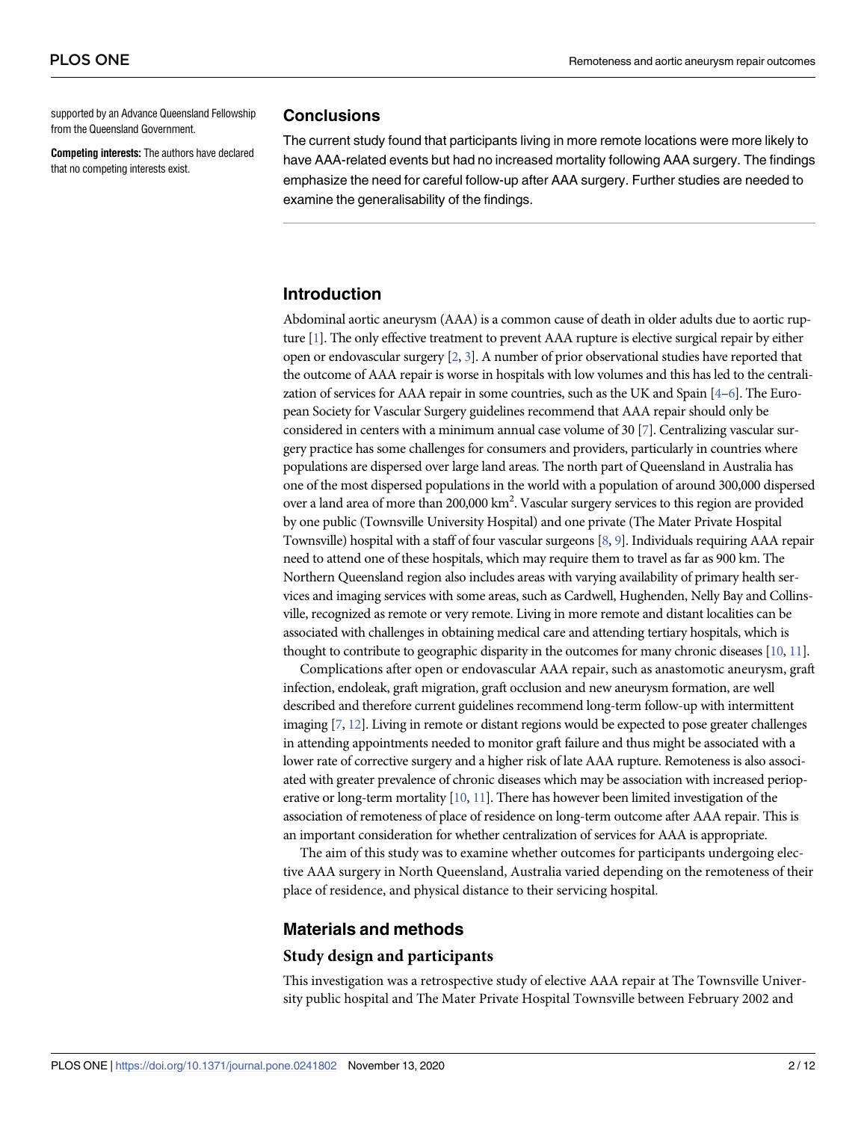<span id="page-1-0"></span>supported by an Advance Queensland Fellowship from the Queensland Government.

**Competing interests:** The authors have declared that no competing interests exist.

#### **Conclusions**

The current study found that participants living in more remote locations were more likely to have AAA-related events but had no increased mortality following AAA surgery. The findings emphasize the need for careful follow-up after AAA surgery. Further studies are needed to examine the generalisability of the findings.

#### **Introduction**

Abdominal aortic aneurysm (AAA) is a common cause of death in older adults due to aortic rupture [\[1\]](#page-9-0). The only effective treatment to prevent AAA rupture is elective surgical repair by either open or endovascular surgery [\[2,](#page-9-0) [3\]](#page-9-0). A number of prior observational studies have reported that the outcome of AAA repair is worse in hospitals with low volumes and this has led to the centralization of services for AAA repair in some countries, such as the UK and Spain [\[4–6](#page-9-0)]. The European Society for Vascular Surgery guidelines recommend that AAA repair should only be considered in centers with a minimum annual case volume of 30 [[7](#page-9-0)]. Centralizing vascular surgery practice has some challenges for consumers and providers, particularly in countries where populations are dispersed over large land areas. The north part of Queensland in Australia has one of the most dispersed populations in the world with a population of around 300,000 dispersed over a land area of more than 200,000 km<sup>2</sup>. Vascular surgery services to this region are provided by one public (Townsville University Hospital) and one private (The Mater Private Hospital Townsville) hospital with a staff of four vascular surgeons [\[8,](#page-9-0) [9\]](#page-9-0). Individuals requiring AAA repair need to attend one of these hospitals, which may require them to travel as far as 900 km. The Northern Queensland region also includes areas with varying availability of primary health services and imaging services with some areas, such as Cardwell, Hughenden, Nelly Bay and Collinsville, recognized as remote or very remote. Living in more remote and distant localities can be associated with challenges in obtaining medical care and attending tertiary hospitals, which is thought to contribute to geographic disparity in the outcomes for many chronic diseases [\[10](#page-10-0), [11\]](#page-10-0).

Complications after open or endovascular AAA repair, such as anastomotic aneurysm, graft infection, endoleak, graft migration, graft occlusion and new aneurysm formation, are well described and therefore current guidelines recommend long-term follow-up with intermittent imaging [\[7,](#page-9-0) [12](#page-10-0)]. Living in remote or distant regions would be expected to pose greater challenges in attending appointments needed to monitor graft failure and thus might be associated with a lower rate of corrective surgery and a higher risk of late AAA rupture. Remoteness is also associated with greater prevalence of chronic diseases which may be association with increased perioperative or long-term mortality [\[10,](#page-10-0) [11](#page-10-0)]. There has however been limited investigation of the association of remoteness of place of residence on long-term outcome after AAA repair. This is an important consideration for whether centralization of services for AAA is appropriate.

The aim of this study was to examine whether outcomes for participants undergoing elective AAA surgery in North Queensland, Australia varied depending on the remoteness of their place of residence, and physical distance to their servicing hospital.

#### **Materials and methods**

#### **Study design and participants**

This investigation was a retrospective study of elective AAA repair at The Townsville University public hospital and The Mater Private Hospital Townsville between February 2002 and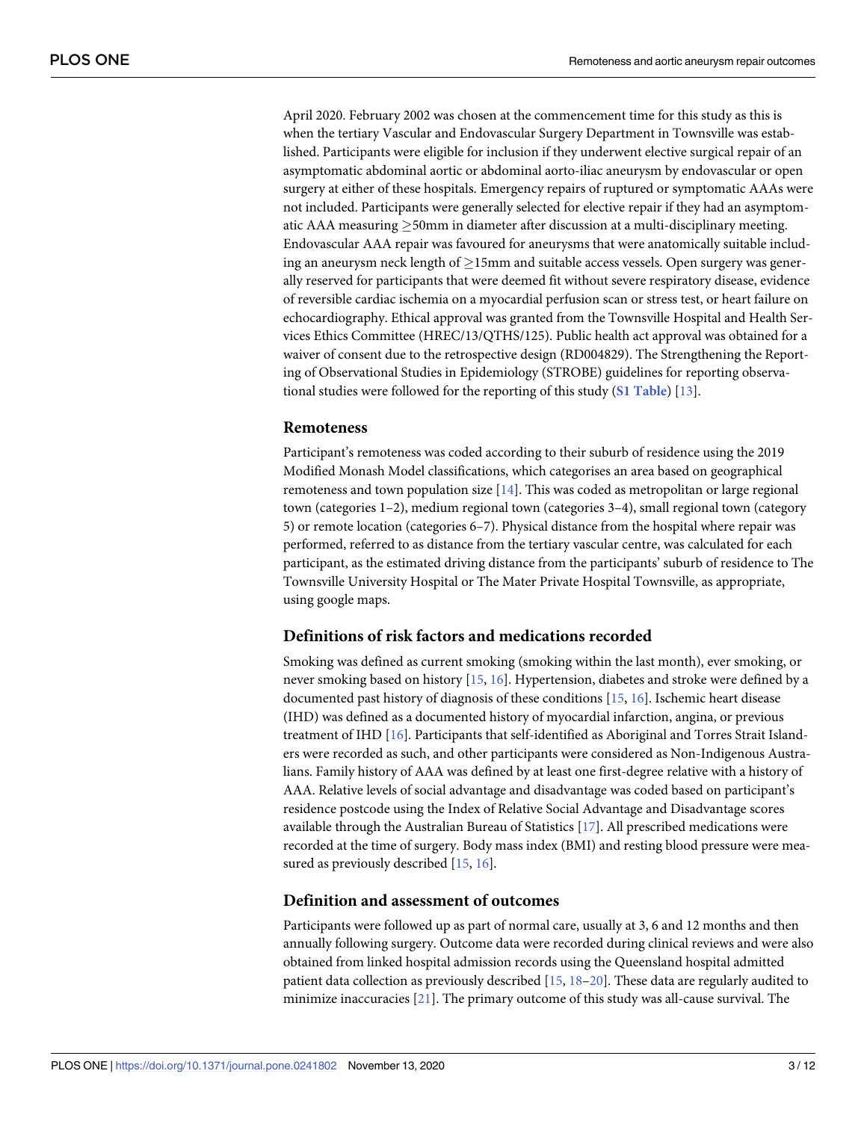<span id="page-2-0"></span>April 2020. February 2002 was chosen at the commencement time for this study as this is when the tertiary Vascular and Endovascular Surgery Department in Townsville was established. Participants were eligible for inclusion if they underwent elective surgical repair of an asymptomatic abdominal aortic or abdominal aorto-iliac aneurysm by endovascular or open surgery at either of these hospitals. Emergency repairs of ruptured or symptomatic AAAs were not included. Participants were generally selected for elective repair if they had an asymptomatic AAA measuring  $\geq$ 50mm in diameter after discussion at a multi-disciplinary meeting. Endovascular AAA repair was favoured for aneurysms that were anatomically suitable including an aneurysm neck length of  $\geq$ 15mm and suitable access vessels. Open surgery was generally reserved for participants that were deemed fit without severe respiratory disease, evidence of reversible cardiac ischemia on a myocardial perfusion scan or stress test, or heart failure on echocardiography. Ethical approval was granted from the Townsville Hospital and Health Services Ethics Committee (HREC/13/QTHS/125). Public health act approval was obtained for a waiver of consent due to the retrospective design (RD004829). The Strengthening the Reporting of Observational Studies in Epidemiology (STROBE) guidelines for reporting observational studies were followed for the reporting of this study (**S1 [Table](#page-8-0)**) [\[13\]](#page-10-0).

#### **Remoteness**

Participant's remoteness was coded according to their suburb of residence using the 2019 Modified Monash Model classifications, which categorises an area based on geographical remoteness and town population size [[14](#page-10-0)]. This was coded as metropolitan or large regional town (categories 1–2), medium regional town (categories 3–4), small regional town (category 5) or remote location (categories 6–7). Physical distance from the hospital where repair was performed, referred to as distance from the tertiary vascular centre, was calculated for each participant, as the estimated driving distance from the participants' suburb of residence to The Townsville University Hospital or The Mater Private Hospital Townsville, as appropriate, using google maps.

#### **Definitions of risk factors and medications recorded**

Smoking was defined as current smoking (smoking within the last month), ever smoking, or never smoking based on history [\[15,](#page-10-0) [16\]](#page-10-0). Hypertension, diabetes and stroke were defined by a documented past history of diagnosis of these conditions [\[15,](#page-10-0) [16\]](#page-10-0). Ischemic heart disease (IHD) was defined as a documented history of myocardial infarction, angina, or previous treatment of IHD [[16](#page-10-0)]. Participants that self-identified as Aboriginal and Torres Strait Islanders were recorded as such, and other participants were considered as Non-Indigenous Australians. Family history of AAA was defined by at least one first-degree relative with a history of AAA. Relative levels of social advantage and disadvantage was coded based on participant's residence postcode using the Index of Relative Social Advantage and Disadvantage scores available through the Australian Bureau of Statistics [\[17\]](#page-10-0). All prescribed medications were recorded at the time of surgery. Body mass index (BMI) and resting blood pressure were mea-sured as previously described [[15](#page-10-0), [16](#page-10-0)].

#### **Definition and assessment of outcomes**

Participants were followed up as part of normal care, usually at 3, 6 and 12 months and then annually following surgery. Outcome data were recorded during clinical reviews and were also obtained from linked hospital admission records using the Queensland hospital admitted patient data collection as previously described [[15](#page-10-0), [18](#page-10-0)–[20\]](#page-10-0). These data are regularly audited to minimize inaccuracies  $[21]$ . The primary outcome of this study was all-cause survival. The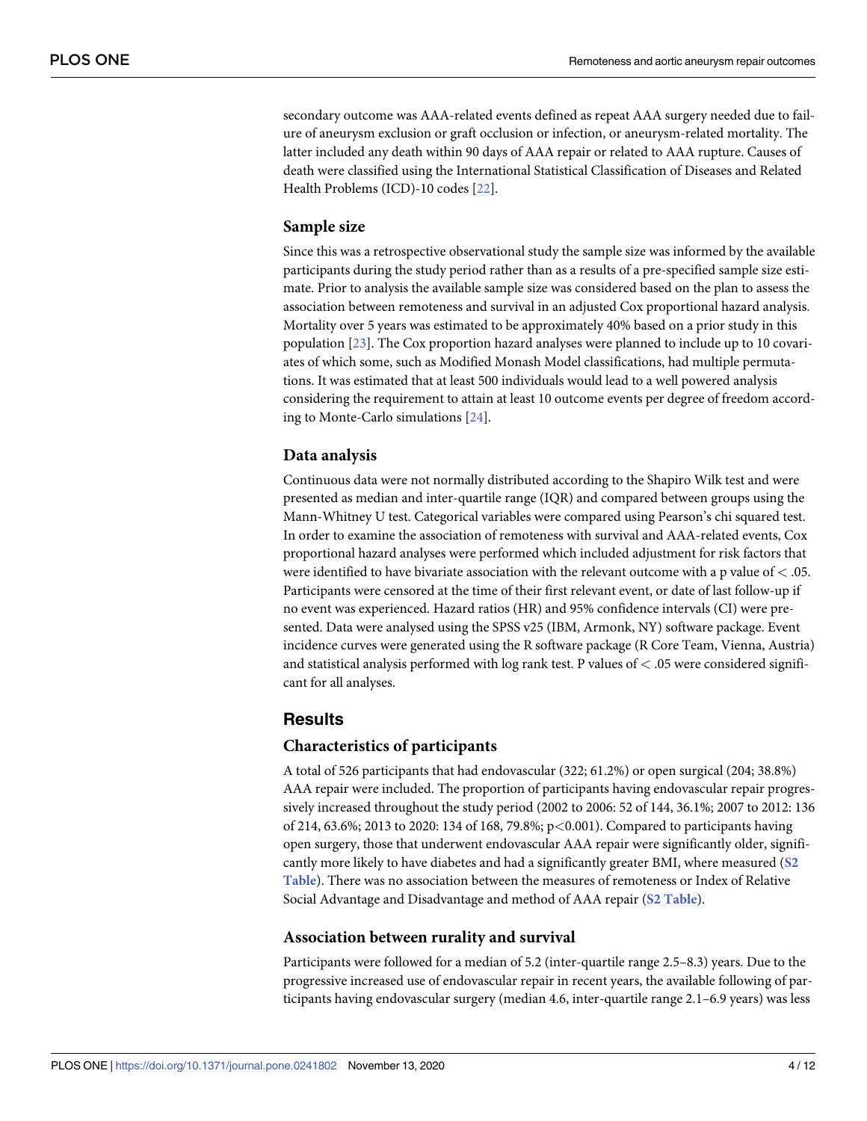<span id="page-3-0"></span>secondary outcome was AAA-related events defined as repeat AAA surgery needed due to failure of aneurysm exclusion or graft occlusion or infection, or aneurysm-related mortality. The latter included any death within 90 days of AAA repair or related to AAA rupture. Causes of death were classified using the International Statistical Classification of Diseases and Related Health Problems (ICD)-10 codes [[22](#page-10-0)].

#### **Sample size**

Since this was a retrospective observational study the sample size was informed by the available participants during the study period rather than as a results of a pre-specified sample size estimate. Prior to analysis the available sample size was considered based on the plan to assess the association between remoteness and survival in an adjusted Cox proportional hazard analysis. Mortality over 5 years was estimated to be approximately 40% based on a prior study in this population [\[23\]](#page-10-0). The Cox proportion hazard analyses were planned to include up to 10 covariates of which some, such as Modified Monash Model classifications, had multiple permutations. It was estimated that at least 500 individuals would lead to a well powered analysis considering the requirement to attain at least 10 outcome events per degree of freedom according to Monte-Carlo simulations [[24](#page-10-0)].

#### **Data analysis**

Continuous data were not normally distributed according to the Shapiro Wilk test and were presented as median and inter-quartile range (IQR) and compared between groups using the Mann-Whitney U test. Categorical variables were compared using Pearson's chi squared test. In order to examine the association of remoteness with survival and AAA-related events, Cox proportional hazard analyses were performed which included adjustment for risk factors that were identified to have bivariate association with the relevant outcome with a p value of *<* .05. Participants were censored at the time of their first relevant event, or date of last follow-up if no event was experienced. Hazard ratios (HR) and 95% confidence intervals (CI) were presented. Data were analysed using the SPSS v25 (IBM, Armonk, NY) software package. Event incidence curves were generated using the R software package (R Core Team, Vienna, Austria) and statistical analysis performed with log rank test. P values of *<* .05 were considered significant for all analyses.

#### **Results**

#### **Characteristics of participants**

A total of 526 participants that had endovascular (322; 61.2%) or open surgical (204; 38.8%) AAA repair were included. The proportion of participants having endovascular repair progressively increased throughout the study period (2002 to 2006: 52 of 144, 36.1%; 2007 to 2012: 136 of 214, 63.6%; 2013 to 2020: 134 of 168, 79.8%; p*<*0.001). Compared to participants having open surgery, those that underwent endovascular AAA repair were significantly older, significantly more likely to have diabetes and had a significantly greater BMI, where measured (**[S2](#page-8-0) [Table](#page-8-0)**). There was no association between the measures of remoteness or Index of Relative Social Advantage and Disadvantage and method of AAA repair (**S2 [Table](#page-8-0)**).

#### **Association between rurality and survival**

Participants were followed for a median of 5.2 (inter-quartile range 2.5–8.3) years. Due to the progressive increased use of endovascular repair in recent years, the available following of participants having endovascular surgery (median 4.6, inter-quartile range 2.1–6.9 years) was less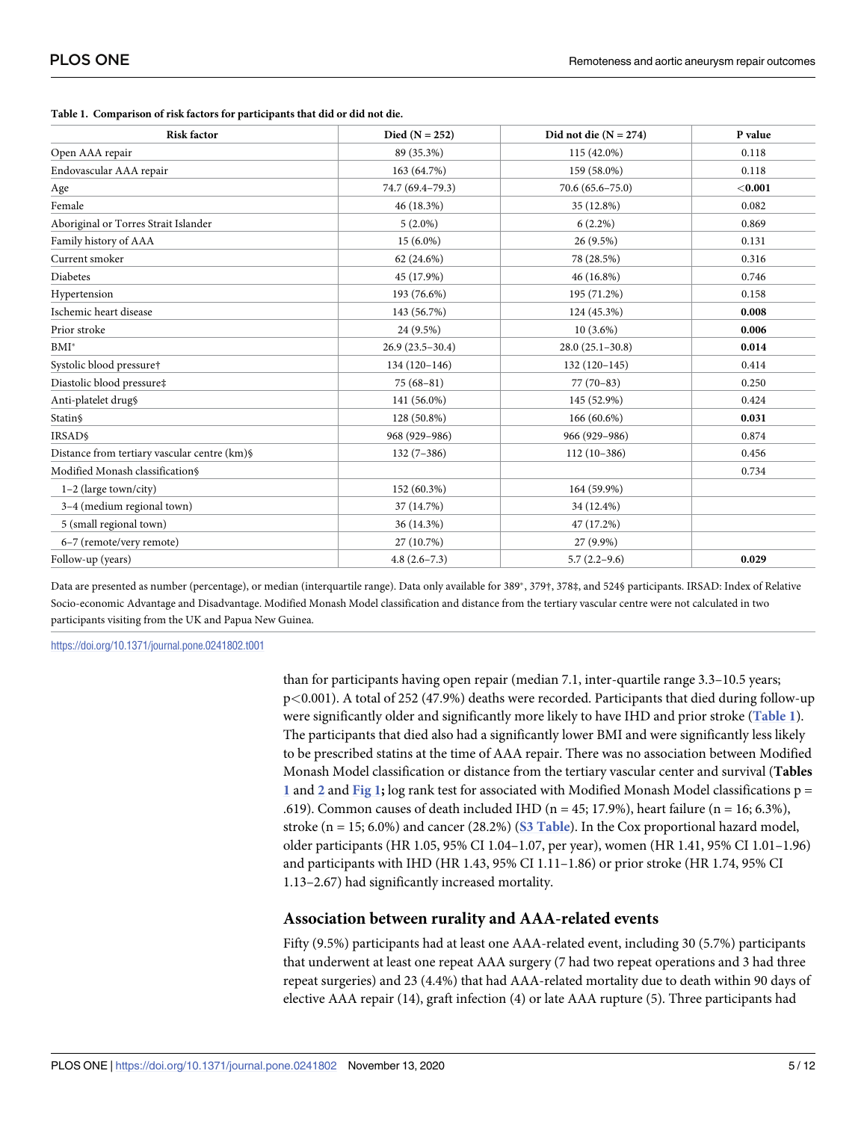| <b>Risk factor</b>                           | Died ( $N = 252$ ) | Did not die $(N = 274)$ | P value |
|----------------------------------------------|--------------------|-------------------------|---------|
| Open AAA repair                              | 89 (35.3%)         | 115 (42.0%)             | 0.118   |
| Endovascular AAA repair                      | 163 (64.7%)        | 159 (58.0%)             | 0.118   |
| Age                                          | 74.7 (69.4-79.3)   | $70.6(65.6 - 75.0)$     | < 0.001 |
| Female                                       | 46 (18.3%)         | 35 (12.8%)              | 0.082   |
| Aboriginal or Torres Strait Islander         | $5(2.0\%)$         | $6(2.2\%)$              | 0.869   |
| Family history of AAA                        | $15(6.0\%)$        | 26 (9.5%)               | 0.131   |
| Current smoker                               | 62 (24.6%)         | 78 (28.5%)              | 0.316   |
| Diabetes                                     | 45 (17.9%)         | 46 (16.8%)              | 0.746   |
| Hypertension                                 | 193 (76.6%)        | 195 (71.2%)             | 0.158   |
| Ischemic heart disease                       | 143 (56.7%)        | 124 (45.3%)             | 0.008   |
| Prior stroke                                 | 24 (9.5%)          | $10(3.6\%)$             | 0.006   |
| $\mathrm{BMI}^*$                             | $26.9(23.5-30.4)$  | $28.0(25.1-30.8)$       | 0.014   |
| Systolic blood pressure†                     | $134(120-146)$     | $132(120-145)$          | 0.414   |
| Diastolic blood pressure‡                    | $75(68-81)$        | $77(70-83)$             | 0.250   |
| Anti-platelet drug§                          | 141 (56.0%)        | 145 (52.9%)             | 0.424   |
| Statin§                                      | 128 (50.8%)        | 166 (60.6%)             | 0.031   |
| <b>IRSAD\$</b>                               | 968 (929-986)      | 966 (929-986)           | 0.874   |
| Distance from tertiary vascular centre (km)§ | $132(7-386)$       | $112(10-386)$           | 0.456   |
| Modified Monash classification§              |                    |                         | 0.734   |
| $1-2$ (large town/city)                      | 152 (60.3%)        | 164 (59.9%)             |         |
| 3-4 (medium regional town)                   | 37 (14.7%)         | 34 (12.4%)              |         |
| 5 (small regional town)                      | 36 (14.3%)         | 47 (17.2%)              |         |
| 6-7 (remote/very remote)                     | 27 (10.7%)         | 27 (9.9%)               |         |
| Follow-up (years)                            | $4.8(2.6 - 7.3)$   | $5.7(2.2 - 9.6)$        | 0.029   |

<span id="page-4-0"></span>**Table 1. Comparison of risk factors for participants that did or did not die.**

Data are presented as number (percentage), or median (interquartile range). Data only available for 389<sup>\*</sup>, 379<sup>†</sup>, 378‡, and 524§ participants. IRSAD: Index of Relative Socio-economic Advantage and Disadvantage. Modified Monash Model classification and distance from the tertiary vascular centre were not calculated in two participants visiting from the UK and Papua New Guinea.

<https://doi.org/10.1371/journal.pone.0241802.t001>

than for participants having open repair (median 7.1, inter-quartile range 3.3–10.5 years; p*<*0.001). A total of 252 (47.9%) deaths were recorded. Participants that died during follow-up were significantly older and significantly more likely to have IHD and prior stroke (**Table 1**). The participants that died also had a significantly lower BMI and were significantly less likely to be prescribed statins at the time of AAA repair. There was no association between Modified Monash Model classification or distance from the tertiary vascular center and survival (**Tables 1** and **[2](#page-5-0)** and **[Fig](#page-5-0) 1;** log rank test for associated with Modified Monash Model classifications p = .619). Common causes of death included IHD ( $n = 45$ ; 17.9%), heart failure ( $n = 16$ ; 6.3%), stroke (n = 15; 6.0%) and cancer (28.2%) (**S3 [Table](#page-9-0)**). In the Cox proportional hazard model, older participants (HR 1.05, 95% CI 1.04–1.07, per year), women (HR 1.41, 95% CI 1.01–1.96) and participants with IHD (HR 1.43, 95% CI 1.11–1.86) or prior stroke (HR 1.74, 95% CI 1.13–2.67) had significantly increased mortality.

#### **Association between rurality and AAA-related events**

Fifty (9.5%) participants had at least one AAA-related event, including 30 (5.7%) participants that underwent at least one repeat AAA surgery (7 had two repeat operations and 3 had three repeat surgeries) and 23 (4.4%) that had AAA-related mortality due to death within 90 days of elective AAA repair (14), graft infection (4) or late AAA rupture (5). Three participants had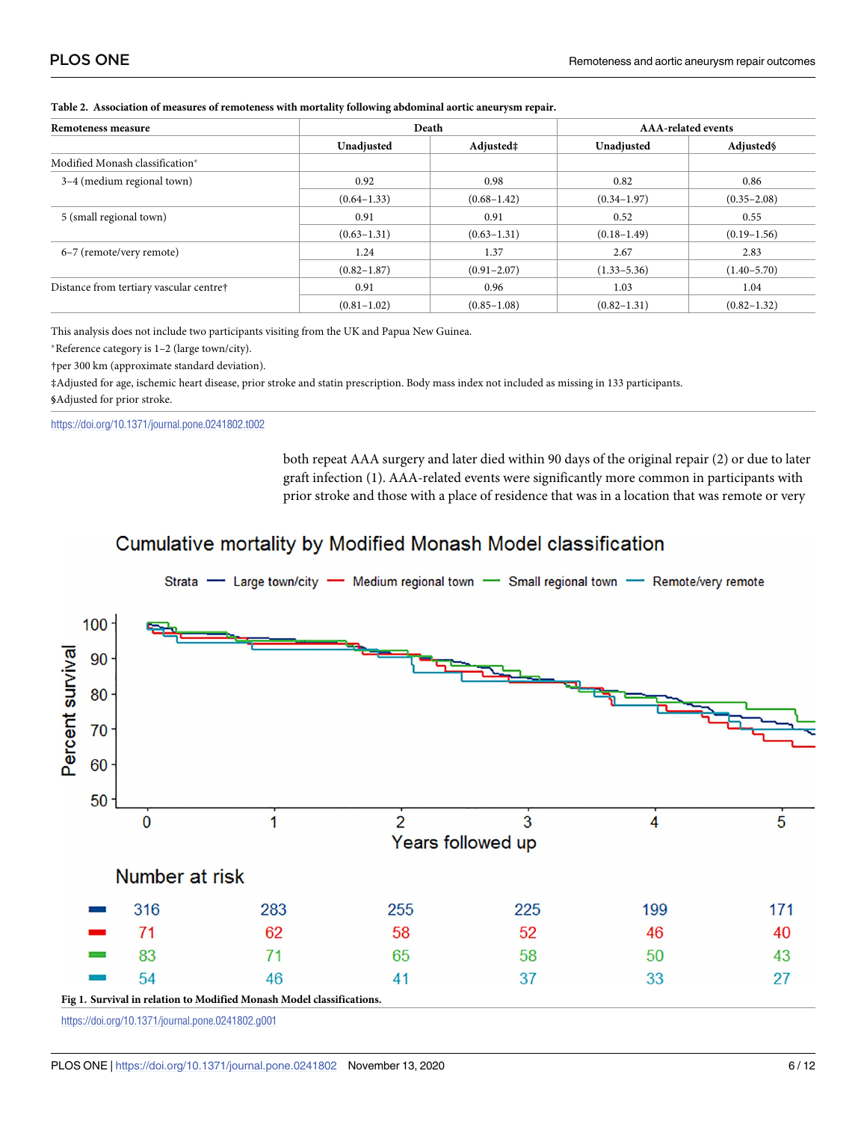| Remoteness measure                      | Death           |                 | <b>AAA-related events</b> |                 |
|-----------------------------------------|-----------------|-----------------|---------------------------|-----------------|
|                                         | Unadjusted      | Adjusted‡       | Unadjusted                | Adjusted        |
| Modified Monash classification*         |                 |                 |                           |                 |
| 3-4 (medium regional town)              | 0.92            | 0.98            | 0.82                      | 0.86            |
|                                         | $(0.64 - 1.33)$ | $(0.68 - 1.42)$ | $(0.34 - 1.97)$           | $(0.35 - 2.08)$ |
| 5 (small regional town)                 | 0.91            | 0.91            | 0.52                      | 0.55            |
|                                         | $(0.63 - 1.31)$ | $(0.63 - 1.31)$ | $(0.18 - 1.49)$           | $(0.19 - 1.56)$ |
| 6–7 (remote/very remote)                | 1.24            | 1.37            | 2.67                      | 2.83            |
|                                         | $(0.82 - 1.87)$ | $(0.91 - 2.07)$ | $(1.33 - 5.36)$           | $(1.40 - 5.70)$ |
| Distance from tertiary vascular centre† | 0.91            | 0.96            | 1.03                      | 1.04            |
|                                         | $(0.81 - 1.02)$ | $(0.85 - 1.08)$ | $(0.82 - 1.31)$           | $(0.82 - 1.32)$ |

#### <span id="page-5-0"></span>**[Table 2.](#page-4-0) Association of measures of remoteness with mortality following abdominal aortic aneurysm repair.**

This analysis does not include two participants visiting from the UK and Papua New Guinea.

�Reference category is 1–2 (large town/city).

†per 300 km (approximate standard deviation).

‡Adjusted for age, ischemic heart disease, prior stroke and statin prescription. Body mass index not included as missing in 133 participants. **§**Adjusted for prior stroke.

<https://doi.org/10.1371/journal.pone.0241802.t002>

both repeat AAA surgery and later died within 90 days of the original repair (2) or due to later graft infection (1). AAA-related events were significantly more common in participants with prior stroke and those with a place of residence that was in a location that was remote or very

## **Cumulative mortality by Modified Monash Model classification**



<https://doi.org/10.1371/journal.pone.0241802.g001>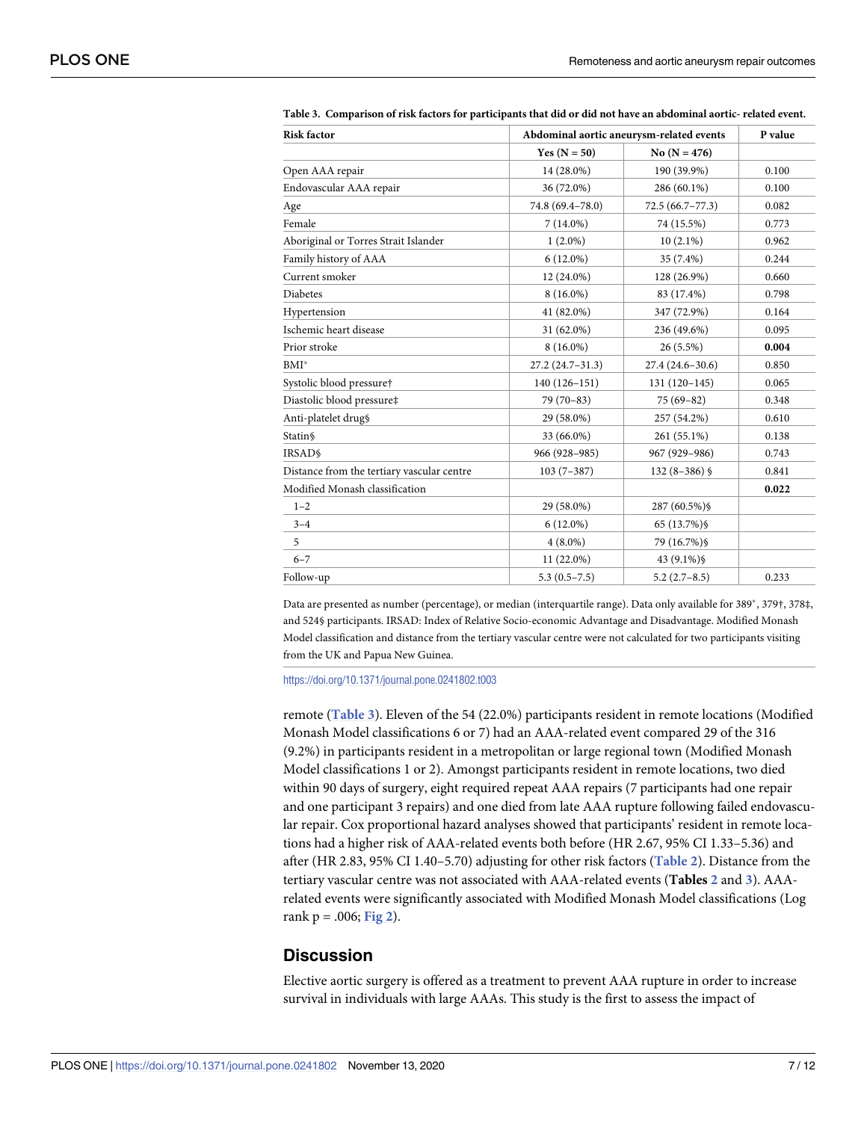| <b>Risk factor</b>                         | Abdominal aortic aneurysm-related events | P value             |       |
|--------------------------------------------|------------------------------------------|---------------------|-------|
|                                            | Yes $(N = 50)$                           | No $(N = 476)$      |       |
| Open AAA repair                            | 14 (28.0%)                               | 190 (39.9%)         | 0.100 |
| Endovascular AAA repair                    | 36 (72.0%)                               | 286 (60.1%)         | 0.100 |
| Age                                        | 74.8 (69.4-78.0)                         | $72.5(66.7 - 77.3)$ | 0.082 |
| Female                                     | $7(14.0\%)$                              | 74 (15.5%)          | 0.773 |
| Aboriginal or Torres Strait Islander       | $1(2.0\%)$                               | $10(2.1\%)$         | 0.962 |
| Family history of AAA                      | $6(12.0\%)$                              | 35 (7.4%)           | 0.244 |
| Current smoker                             | 12 (24.0%)                               | 128 (26.9%)         | 0.660 |
| <b>Diabetes</b>                            | $8(16.0\%)$                              | 83 (17.4%)          | 0.798 |
| Hypertension                               | 41 (82.0%)                               | 347 (72.9%)         | 0.164 |
| Ischemic heart disease                     | 31 (62.0%)                               | 236 (49.6%)         | 0.095 |
| Prior stroke                               | $8(16.0\%)$                              | 26 (5.5%)           | 0.004 |
| $BMI^*$                                    | $27.2(24.7-31.3)$                        | $27.4(24.6-30.6)$   | 0.850 |
| Systolic blood pressure†                   | $140(126 - 151)$                         | $131(120-145)$      | 0.065 |
| Diastolic blood pressure‡                  | $79(70-83)$                              | $75(69-82)$         | 0.348 |
| Anti-platelet drug§                        | 29 (58.0%)                               | 257 (54.2%)         | 0.610 |
| <b>Statin</b> §                            | 33 (66.0%)                               | 261 (55.1%)         | 0.138 |
| <b>IRSADS</b>                              | 966 (928-985)                            | 967 (929-986)       | 0.743 |
| Distance from the tertiary vascular centre | $103(7-387)$                             | $132(8-386)$ \$     | 0.841 |
| Modified Monash classification             |                                          |                     | 0.022 |
| $1 - 2$                                    | 29 (58.0%)                               | 287 (60.5%) \$      |       |
| $3 - 4$                                    | $6(12.0\%)$                              | 65 (13.7%) §        |       |
| 5                                          | $4(8.0\%)$                               | 79 (16.7%) \$       |       |
| $6 - 7$                                    | 11 (22.0%)                               | 43 (9.1%) §         |       |
| Follow-up                                  | $5.3(0.5 - 7.5)$                         | $5.2(2.7-8.5)$      | 0.233 |

<span id="page-6-0"></span>Table 3. Comparison of risk factors for participants that did or did not have an abdominal aortic- related event.

Data are presented as number (percentage), or median (interquartile range). Data only available for 389<sup>\*</sup>, 379†, 378‡, and 524§ participants. IRSAD: Index of Relative Socio-economic Advantage and Disadvantage. Modified Monash Model classification and distance from the tertiary vascular centre were not calculated for two participants visiting from the UK and Papua New Guinea.

<https://doi.org/10.1371/journal.pone.0241802.t003>

remote (**Table 3**). Eleven of the 54 (22.0%) participants resident in remote locations (Modified Monash Model classifications 6 or 7) had an AAA-related event compared 29 of the 316 (9.2%) in participants resident in a metropolitan or large regional town (Modified Monash Model classifications 1 or 2). Amongst participants resident in remote locations, two died within 90 days of surgery, eight required repeat AAA repairs (7 participants had one repair and one participant 3 repairs) and one died from late AAA rupture following failed endovascular repair. Cox proportional hazard analyses showed that participants' resident in remote locations had a higher risk of AAA-related events both before (HR 2.67, 95% CI 1.33–5.36) and after (HR 2.83, 95% CI 1.40–5.70) adjusting for other risk factors (**[Table](#page-5-0) 2**). Distance from the tertiary vascular centre was not associated with AAA-related events (**Tables [2](#page-5-0)** and **3**). AAArelated events were significantly associated with Modified Monash Model classifications (Log rank p = .006; **[Fig](#page-7-0) 2**).

#### **Discussion**

Elective aortic surgery is offered as a treatment to prevent AAA rupture in order to increase survival in individuals with large AAAs. This study is the first to assess the impact of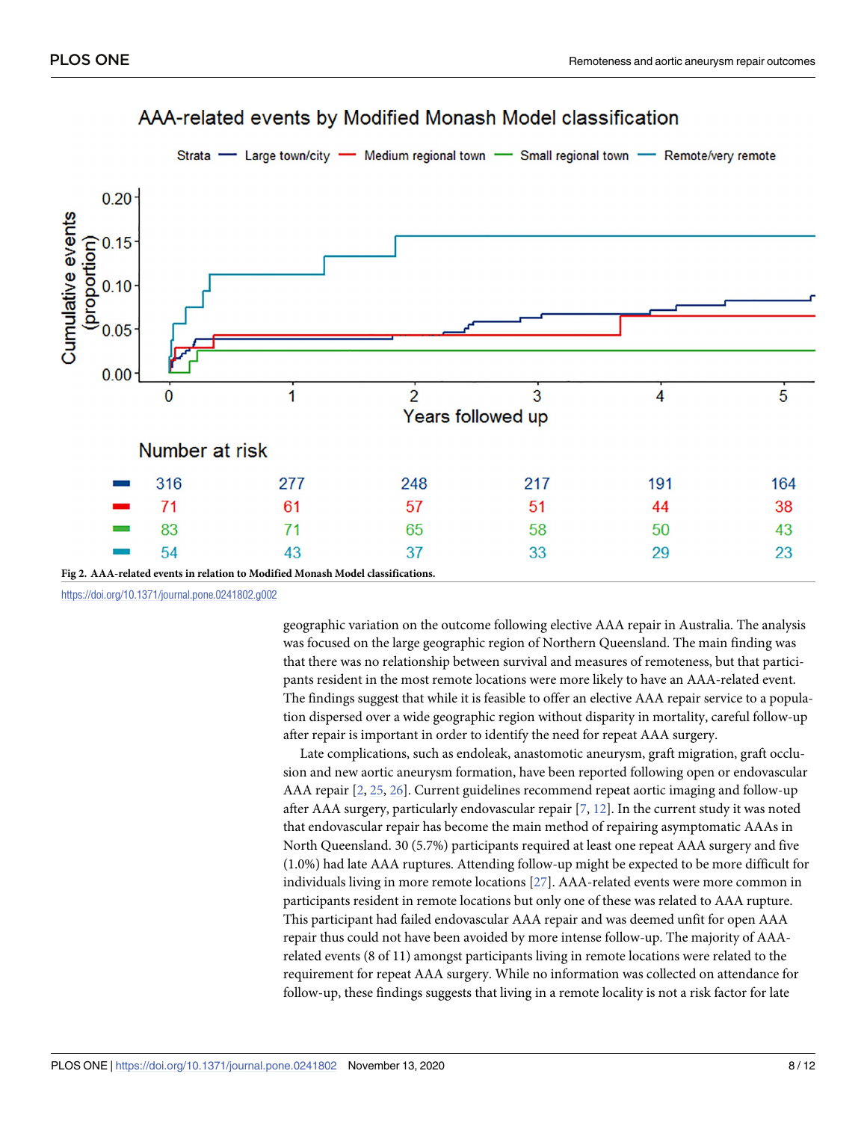<span id="page-7-0"></span>

# AM-related events by Modified Monash Model classification

<https://doi.org/10.1371/journal.pone.0241802.g002>

geographic variation on the outcome following elective AAA repair in Australia. The analysis was focused on the large geographic region of Northern Queensland. The main finding was that there was no relationship between survival and measures of remoteness, but that participants resident in the most remote locations were more likely to have an AAA-related event. The findings suggest that while it is feasible to offer an elective AAA repair service to a population dispersed over a wide geographic region without disparity in mortality, careful follow-up after repair is important in order to identify the need for repeat AAA surgery.

Late complications, such as endoleak, anastomotic aneurysm, graft migration, graft occlusion and new aortic aneurysm formation, have been reported following open or endovascular AAA repair [\[2,](#page-9-0) [25,](#page-10-0) [26\]](#page-10-0). Current guidelines recommend repeat aortic imaging and follow-up after AAA surgery, particularly endovascular repair [[7](#page-9-0), [12](#page-10-0)]. In the current study it was noted that endovascular repair has become the main method of repairing asymptomatic AAAs in North Queensland. 30 (5.7%) participants required at least one repeat AAA surgery and five (1.0%) had late AAA ruptures. Attending follow-up might be expected to be more difficult for individuals living in more remote locations [\[27\]](#page-10-0). AAA-related events were more common in participants resident in remote locations but only one of these was related to AAA rupture. This participant had failed endovascular AAA repair and was deemed unfit for open AAA repair thus could not have been avoided by more intense follow-up. The majority of AAArelated events (8 of 11) amongst participants living in remote locations were related to the requirement for repeat AAA surgery. While no information was collected on attendance for follow-up, these findings suggests that living in a remote locality is not a risk factor for late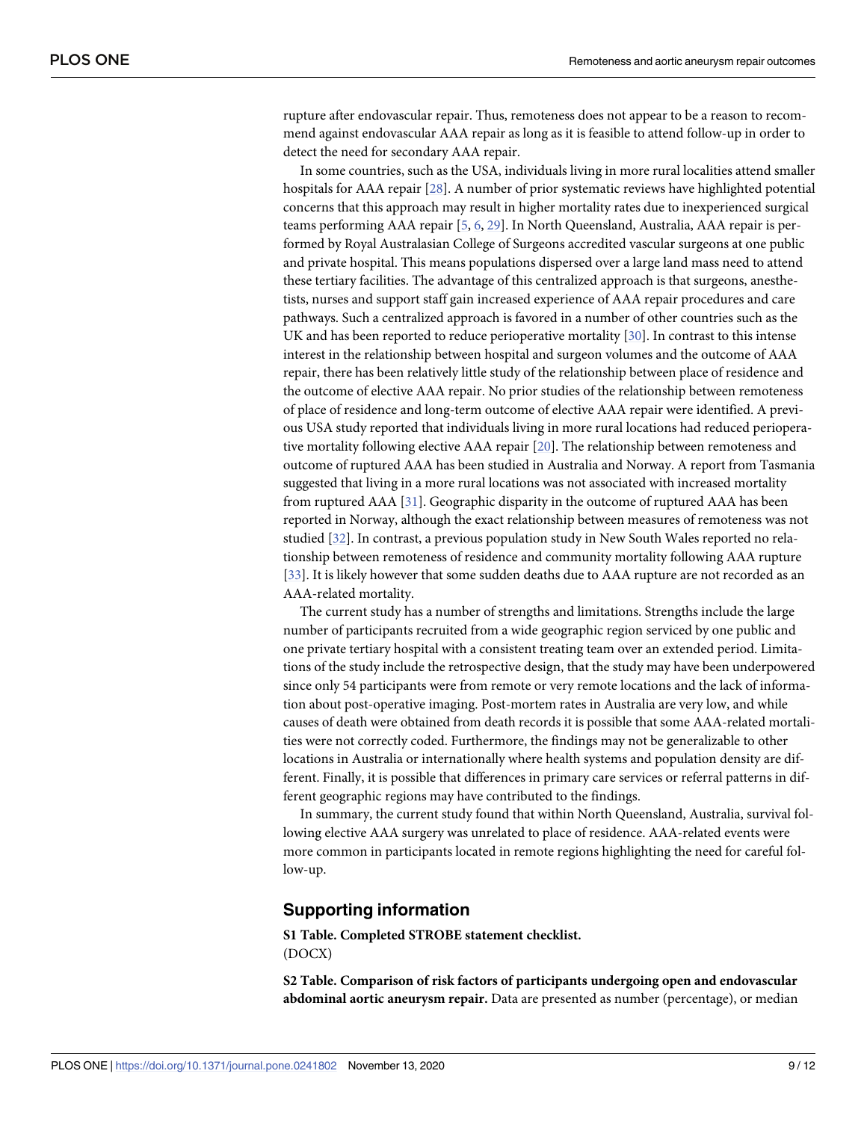<span id="page-8-0"></span>rupture after endovascular repair. Thus, remoteness does not appear to be a reason to recommend against endovascular AAA repair as long as it is feasible to attend follow-up in order to detect the need for secondary AAA repair.

In some countries, such as the USA, individuals living in more rural localities attend smaller hospitals for AAA repair [\[28\]](#page-10-0). A number of prior systematic reviews have highlighted potential concerns that this approach may result in higher mortality rates due to inexperienced surgical teams performing AAA repair [[5](#page-9-0), [6,](#page-9-0) [29\]](#page-10-0). In North Queensland, Australia, AAA repair is performed by Royal Australasian College of Surgeons accredited vascular surgeons at one public and private hospital. This means populations dispersed over a large land mass need to attend these tertiary facilities. The advantage of this centralized approach is that surgeons, anesthetists, nurses and support staff gain increased experience of AAA repair procedures and care pathways. Such a centralized approach is favored in a number of other countries such as the UK and has been reported to reduce perioperative mortality [[30](#page-11-0)]. In contrast to this intense interest in the relationship between hospital and surgeon volumes and the outcome of AAA repair, there has been relatively little study of the relationship between place of residence and the outcome of elective AAA repair. No prior studies of the relationship between remoteness of place of residence and long-term outcome of elective AAA repair were identified. A previous USA study reported that individuals living in more rural locations had reduced perioperative mortality following elective AAA repair [[20](#page-10-0)]. The relationship between remoteness and outcome of ruptured AAA has been studied in Australia and Norway. A report from Tasmania suggested that living in a more rural locations was not associated with increased mortality from ruptured AAA [\[31\]](#page-11-0). Geographic disparity in the outcome of ruptured AAA has been reported in Norway, although the exact relationship between measures of remoteness was not studied [[32](#page-11-0)]. In contrast, a previous population study in New South Wales reported no relationship between remoteness of residence and community mortality following AAA rupture [\[33\]](#page-11-0). It is likely however that some sudden deaths due to AAA rupture are not recorded as an AAA-related mortality.

The current study has a number of strengths and limitations. Strengths include the large number of participants recruited from a wide geographic region serviced by one public and one private tertiary hospital with a consistent treating team over an extended period. Limitations of the study include the retrospective design, that the study may have been underpowered since only 54 participants were from remote or very remote locations and the lack of information about post-operative imaging. Post-mortem rates in Australia are very low, and while causes of death were obtained from death records it is possible that some AAA-related mortalities were not correctly coded. Furthermore, the findings may not be generalizable to other locations in Australia or internationally where health systems and population density are different. Finally, it is possible that differences in primary care services or referral patterns in different geographic regions may have contributed to the findings.

In summary, the current study found that within North Queensland, Australia, survival following elective AAA surgery was unrelated to place of residence. AAA-related events were more common in participants located in remote regions highlighting the need for careful follow-up.

#### **Supporting information**

**S1 [Table.](http://www.plosone.org/article/fetchSingleRepresentation.action?uri=info:doi/10.1371/journal.pone.0241802.s001) Completed STROBE statement checklist.** (DOCX)

**S2 [Table.](http://www.plosone.org/article/fetchSingleRepresentation.action?uri=info:doi/10.1371/journal.pone.0241802.s002) Comparison of risk factors of participants undergoing open and endovascular abdominal aortic aneurysm repair.** Data are presented as number (percentage), or median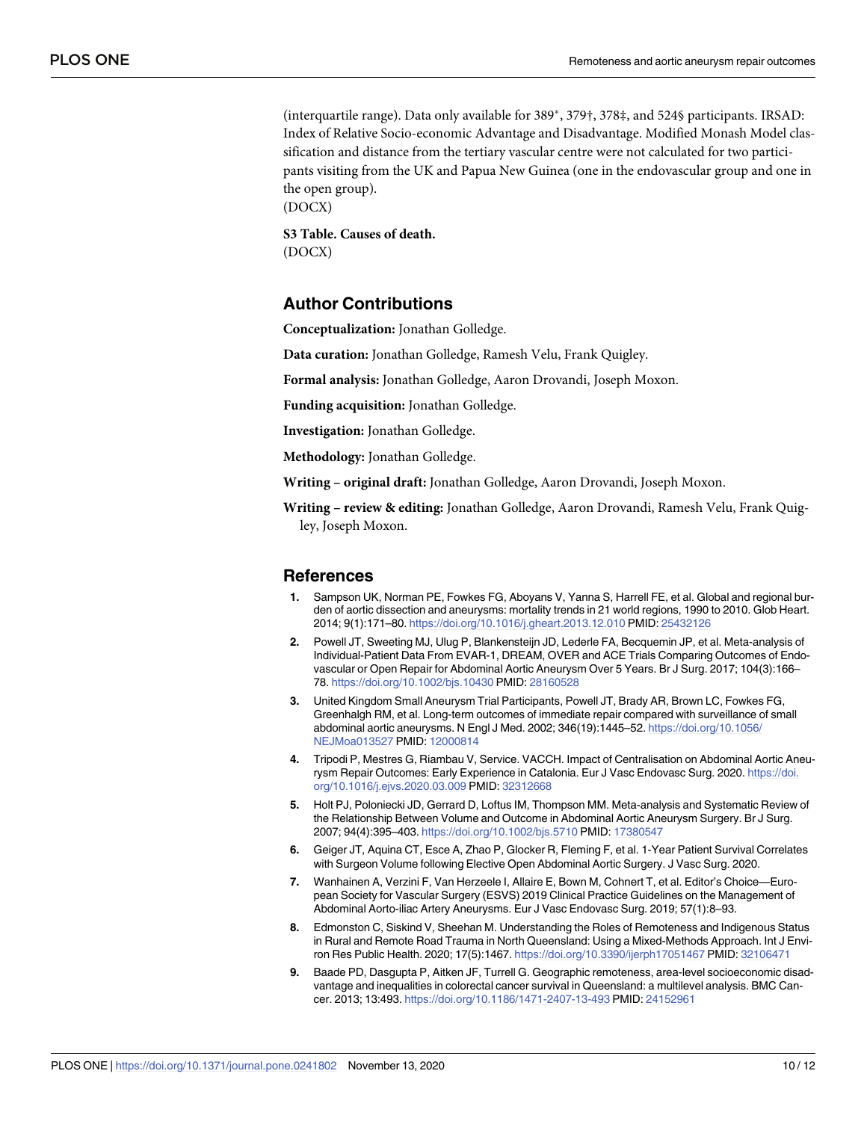<span id="page-9-0"></span>(interquartile range). Data only available for  $389^*$ ,  $379^+$ ,  $378^+$ , and  $524\$  participants. IRSAD: Index of Relative Socio-economic Advantage and Disadvantage. Modified Monash Model classification and distance from the tertiary vascular centre were not calculated for two participants visiting from the UK and Papua New Guinea (one in the endovascular group and one in the open group). (DOCX)

**S3 [Table.](http://www.plosone.org/article/fetchSingleRepresentation.action?uri=info:doi/10.1371/journal.pone.0241802.s003) Causes of death.** (DOCX)

#### **Author Contributions**

**Conceptualization:** Jonathan Golledge.

**Data curation:** Jonathan Golledge, Ramesh Velu, Frank Quigley.

**Formal analysis:** Jonathan Golledge, Aaron Drovandi, Joseph Moxon.

**Funding acquisition:** Jonathan Golledge.

**Investigation:** Jonathan Golledge.

**Methodology:** Jonathan Golledge.

**Writing – original draft:** Jonathan Golledge, Aaron Drovandi, Joseph Moxon.

**Writing – review & editing:** Jonathan Golledge, Aaron Drovandi, Ramesh Velu, Frank Quigley, Joseph Moxon.

#### **References**

- **[1](#page-1-0).** Sampson UK, Norman PE, Fowkes FG, Aboyans V, Yanna S, Harrell FE, et al. Global and regional burden of aortic dissection and aneurysms: mortality trends in 21 world regions, 1990 to 2010. Glob Heart. 2014; 9(1):171–80. <https://doi.org/10.1016/j.gheart.2013.12.010> PMID: [25432126](http://www.ncbi.nlm.nih.gov/pubmed/25432126)
- **[2](#page-1-0).** Powell JT, Sweeting MJ, Ulug P, Blankensteijn JD, Lederle FA, Becquemin JP, et al. Meta-analysis of Individual-Patient Data From EVAR-1, DREAM, OVER and ACE Trials Comparing Outcomes of Endovascular or Open Repair for Abdominal Aortic Aneurysm Over 5 Years. Br J Surg. 2017; 104(3):166– 78. <https://doi.org/10.1002/bjs.10430> PMID: [28160528](http://www.ncbi.nlm.nih.gov/pubmed/28160528)
- **[3](#page-1-0).** United Kingdom Small Aneurysm Trial Participants, Powell JT, Brady AR, Brown LC, Fowkes FG, Greenhalgh RM, et al. Long-term outcomes of immediate repair compared with surveillance of small abdominal aortic aneurysms. N Engl J Med. 2002; 346(19):1445–52. [https://doi.org/10.1056/](https://doi.org/10.1056/NEJMoa013527) [NEJMoa013527](https://doi.org/10.1056/NEJMoa013527) PMID: [12000814](http://www.ncbi.nlm.nih.gov/pubmed/12000814)
- **[4](#page-1-0).** Tripodi P, Mestres G, Riambau V, Service. VACCH. Impact of Centralisation on Abdominal Aortic Aneurysm Repair Outcomes: Early Experience in Catalonia. Eur J Vasc Endovasc Surg. 2020. [https://doi.](https://doi.org/10.1016/j.ejvs.2020.03.009) [org/10.1016/j.ejvs.2020.03.009](https://doi.org/10.1016/j.ejvs.2020.03.009) PMID: [32312668](http://www.ncbi.nlm.nih.gov/pubmed/32312668)
- **[5](#page-8-0).** Holt PJ, Poloniecki JD, Gerrard D, Loftus IM, Thompson MM. Meta-analysis and Systematic Review of the Relationship Between Volume and Outcome in Abdominal Aortic Aneurysm Surgery. Br J Surg. 2007; 94(4):395–403. <https://doi.org/10.1002/bjs.5710> PMID: [17380547](http://www.ncbi.nlm.nih.gov/pubmed/17380547)
- **[6](#page-1-0).** Geiger JT, Aquina CT, Esce A, Zhao P, Glocker R, Fleming F, et al. 1-Year Patient Survival Correlates with Surgeon Volume following Elective Open Abdominal Aortic Surgery. J Vasc Surg. 2020.
- **[7](#page-1-0).** Wanhainen A, Verzini F, Van Herzeele I, Allaire E, Bown M, Cohnert T, et al. Editor's Choice—European Society for Vascular Surgery (ESVS) 2019 Clinical Practice Guidelines on the Management of Abdominal Aorto-iliac Artery Aneurysms. Eur J Vasc Endovasc Surg. 2019; 57(1):8–93.
- **[8](#page-1-0).** Edmonston C, Siskind V, Sheehan M. Understanding the Roles of Remoteness and Indigenous Status in Rural and Remote Road Trauma in North Queensland: Using a Mixed-Methods Approach. Int J Environ Res Public Health. 2020; 17(5):1467. <https://doi.org/10.3390/ijerph17051467> PMID: [32106471](http://www.ncbi.nlm.nih.gov/pubmed/32106471)
- **[9](#page-1-0).** Baade PD, Dasgupta P, Aitken JF, Turrell G. Geographic remoteness, area-level socioeconomic disadvantage and inequalities in colorectal cancer survival in Queensland: a multilevel analysis. BMC Cancer. 2013; 13:493. <https://doi.org/10.1186/1471-2407-13-493> PMID: [24152961](http://www.ncbi.nlm.nih.gov/pubmed/24152961)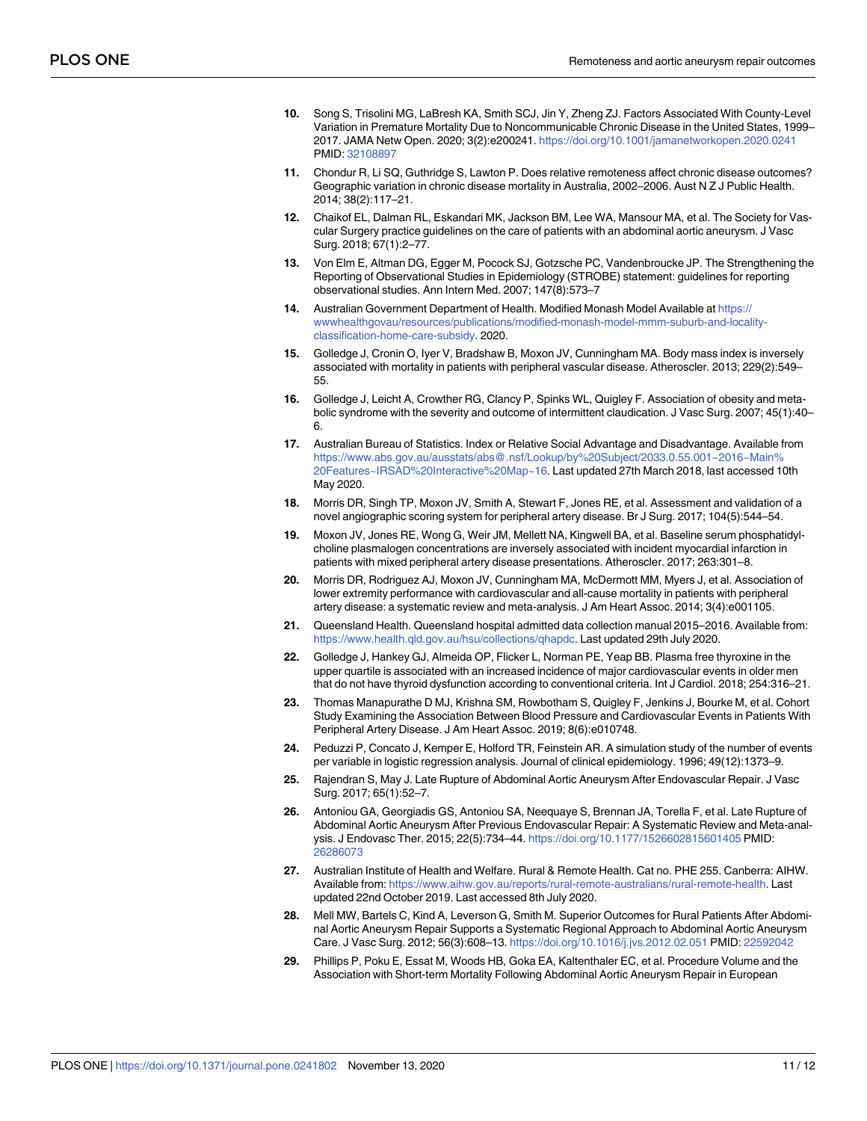- <span id="page-10-0"></span>**[10](#page-1-0).** Song S, Trisolini MG, LaBresh KA, Smith SCJ, Jin Y, Zheng ZJ. Factors Associated With County-Level Variation in Premature Mortality Due to Noncommunicable Chronic Disease in the United States, 1999– 2017. JAMA Netw Open. 2020; 3(2):e200241. <https://doi.org/10.1001/jamanetworkopen.2020.0241> PMID: [32108897](http://www.ncbi.nlm.nih.gov/pubmed/32108897)
- **[11](#page-1-0).** Chondur R, Li SQ, Guthridge S, Lawton P. Does relative remoteness affect chronic disease outcomes? Geographic variation in chronic disease mortality in Australia, 2002–2006. Aust N Z J Public Health. 2014; 38(2):117–21.
- **[12](#page-1-0).** Chaikof EL, Dalman RL, Eskandari MK, Jackson BM, Lee WA, Mansour MA, et al. The Society for Vascular Surgery practice guidelines on the care of patients with an abdominal aortic aneurysm. J Vasc Surg. 2018; 67(1):2–77.
- **[13](#page-2-0).** Von Elm E, Altman DG, Egger M, Pocock SJ, Gotzsche PC, Vandenbroucke JP. The Strengthening the Reporting of Observational Studies in Epidemiology (STROBE) statement: guidelines for reporting observational studies. Ann Intern Med. 2007; 147(8):573–7
- **[14](#page-2-0).** Australian Government Department of Health. Modified Monash Model Available at [https://](https://wwwhealthgovau/resources/publications/modified-monash-model-mmm-suburb-and-locality-classification-home-care-subsidy) [wwwhealthgovau/resources/publications/modified-monash-model-mmm-suburb-and-locality](https://wwwhealthgovau/resources/publications/modified-monash-model-mmm-suburb-and-locality-classification-home-care-subsidy)[classification-home-care-subsidy](https://wwwhealthgovau/resources/publications/modified-monash-model-mmm-suburb-and-locality-classification-home-care-subsidy). 2020.
- **[15](#page-2-0).** Golledge J, Cronin O, Iyer V, Bradshaw B, Moxon JV, Cunningham MA. Body mass index is inversely associated with mortality in patients with peripheral vascular disease. Atheroscler. 2013; 229(2):549– 55.
- **[16](#page-2-0).** Golledge J, Leicht A, Crowther RG, Clancy P, Spinks WL, Quigley F. Association of obesity and metabolic syndrome with the severity and outcome of intermittent claudication. J Vasc Surg. 2007; 45(1):40– 6.
- **[17](#page-2-0).** Australian Bureau of Statistics. Index or Relative Social Advantage and Disadvantage. Available from [https://www.abs.gov.au/ausstats/abs@.nsf/Lookup/by%20Subject/2033.0.55.001~2016~Main%](https://www.abs.gov.au/ausstats/abs@.nsf/Lookup/by%20Subject/2033.0.55.001~2016~Main%20Features~IRSAD%20Interactive%20Map~16) [20Features~IRSAD%20Interactive%20Map~16](https://www.abs.gov.au/ausstats/abs@.nsf/Lookup/by%20Subject/2033.0.55.001~2016~Main%20Features~IRSAD%20Interactive%20Map~16). Last updated 27th March 2018, last accessed 10th May 2020.
- **[18](#page-2-0).** Morris DR, Singh TP, Moxon JV, Smith A, Stewart F, Jones RE, et al. Assessment and validation of a novel angiographic scoring system for peripheral artery disease. Br J Surg. 2017; 104(5):544–54.
- **19.** Moxon JV, Jones RE, Wong G, Weir JM, Mellett NA, Kingwell BA, et al. Baseline serum phosphatidylcholine plasmalogen concentrations are inversely associated with incident myocardial infarction in patients with mixed peripheral artery disease presentations. Atheroscler. 2017; 263:301–8.
- **[20](#page-2-0).** Morris DR, Rodriguez AJ, Moxon JV, Cunningham MA, McDermott MM, Myers J, et al. Association of lower extremity performance with cardiovascular and all-cause mortality in patients with peripheral artery disease: a systematic review and meta-analysis. J Am Heart Assoc. 2014; 3(4):e001105.
- **[21](#page-2-0).** Queensland Health. Queensland hospital admitted data collection manual 2015–2016. Available from: <https://www.health.qld.gov.au/hsu/collections/qhapdc>. Last updated 29th July 2020.
- **[22](#page-3-0).** Golledge J, Hankey GJ, Almeida OP, Flicker L, Norman PE, Yeap BB. Plasma free thyroxine in the upper quartile is associated with an increased incidence of major cardiovascular events in older men that do not have thyroid dysfunction according to conventional criteria. Int J Cardiol. 2018; 254:316–21.
- **[23](#page-3-0).** Thomas Manapurathe D MJ, Krishna SM, Rowbotham S, Quigley F, Jenkins J, Bourke M, et al. Cohort Study Examining the Association Between Blood Pressure and Cardiovascular Events in Patients With Peripheral Artery Disease. J Am Heart Assoc. 2019; 8(6):e010748.
- **[24](#page-3-0).** Peduzzi P, Concato J, Kemper E, Holford TR, Feinstein AR. A simulation study of the number of events per variable in logistic regression analysis. Journal of clinical epidemiology. 1996; 49(12):1373–9.
- **[25](#page-7-0).** Rajendran S, May J. Late Rupture of Abdominal Aortic Aneurysm After Endovascular Repair. J Vasc Surg. 2017; 65(1):52–7.
- **[26](#page-7-0).** Antoniou GA, Georgiadis GS, Antoniou SA, Neequaye S, Brennan JA, Torella F, et al. Late Rupture of Abdominal Aortic Aneurysm After Previous Endovascular Repair: A Systematic Review and Meta-analysis. J Endovasc Ther. 2015; 22(5):734–44. <https://doi.org/10.1177/1526602815601405> PMID: [26286073](http://www.ncbi.nlm.nih.gov/pubmed/26286073)
- **[27](#page-7-0).** Australian Institute of Health and Welfare. Rural & Remote Health. Cat no. PHE 255. Canberra: AIHW. Available from: [https://www.aihw.gov.au/reports/rural-remote-australians/rural-remote-health.](https://www.aihw.gov.au/reports/rural-remote-australians/rural-remote-health) Last updated 22nd October 2019. Last accessed 8th July 2020.
- **[28](#page-8-0).** Mell MW, Bartels C, Kind A, Leverson G, Smith M. Superior Outcomes for Rural Patients After Abdominal Aortic Aneurysm Repair Supports a Systematic Regional Approach to Abdominal Aortic Aneurysm Care. J Vasc Surg. 2012; 56(3):608–13. <https://doi.org/10.1016/j.jvs.2012.02.051> PMID: [22592042](http://www.ncbi.nlm.nih.gov/pubmed/22592042)
- **[29](#page-8-0).** Phillips P, Poku E, Essat M, Woods HB, Goka EA, Kaltenthaler EC, et al. Procedure Volume and the Association with Short-term Mortality Following Abdominal Aortic Aneurysm Repair in European